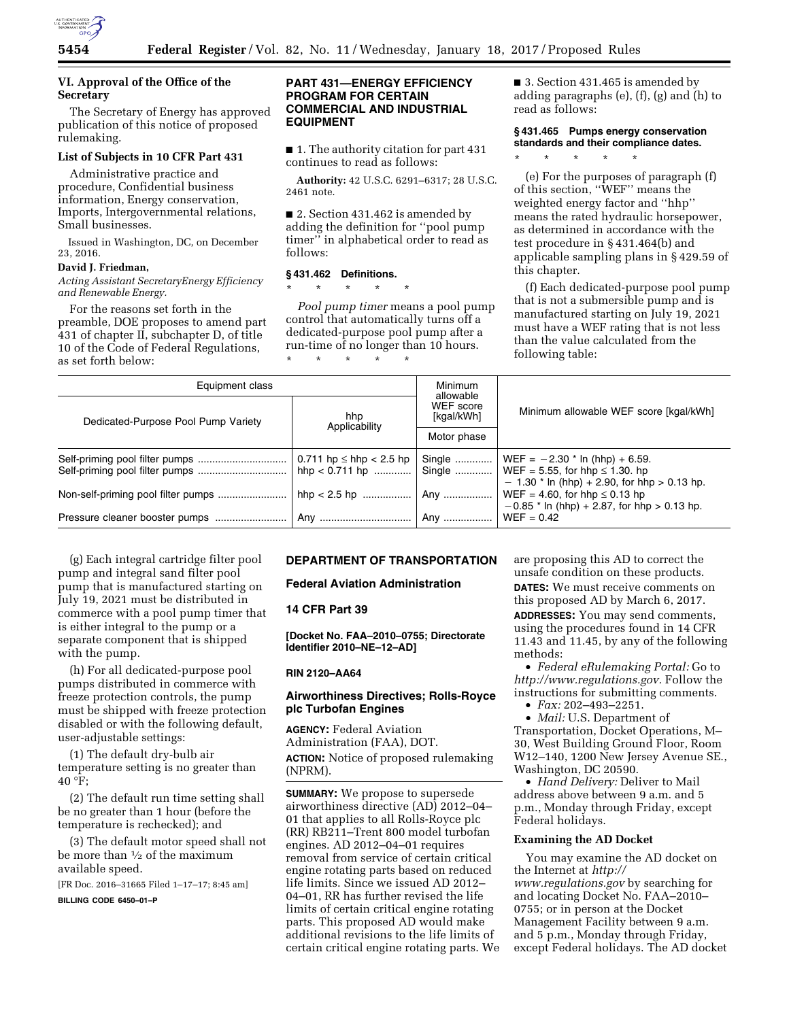

# **VI. Approval of the Office of the Secretary**

The Secretary of Energy has approved publication of this notice of proposed rulemaking.

# **List of Subjects in 10 CFR Part 431**

Administrative practice and procedure, Confidential business information, Energy conservation, Imports, Intergovernmental relations, Small businesses.

Issued in Washington, DC, on December 23, 2016.

## **David J. Friedman,**

*Acting Assistant SecretaryEnergy Efficiency and Renewable Energy.* 

For the reasons set forth in the preamble, DOE proposes to amend part 431 of chapter II, subchapter D, of title 10 of the Code of Federal Regulations, as set forth below:

## **PART 431—ENERGY EFFICIENCY PROGRAM FOR CERTAIN COMMERCIAL AND INDUSTRIAL EQUIPMENT**

■ 1. The authority citation for part 431 continues to read as follows:

**Authority:** 42 U.S.C. 6291–6317; 28 U.S.C. 2461 note.

■ 2. Section 431.462 is amended by adding the definition for ''pool pump timer'' in alphabetical order to read as follows:

#### **§ 431.462 Definitions.**

\* \* \* \* \*

*Pool pump timer* means a pool pump control that automatically turns off a dedicated-purpose pool pump after a run-time of no longer than 10 hours. \* \* \* \* \*

■ 3. Section 431.465 is amended by adding paragraphs (e), (f), (g) and (h) to read as follows:

# **§ 431.465 Pumps energy conservation standards and their compliance dates.**

\* \* \* \* \*

(e) For the purposes of paragraph (f) of this section, ''WEF'' means the weighted energy factor and ''hhp'' means the rated hydraulic horsepower, as determined in accordance with the test procedure in § 431.464(b) and applicable sampling plans in § 429.59 of this chapter.

(f) Each dedicated-purpose pool pump that is not a submersible pump and is manufactured starting on July 19, 2021 must have a WEF rating that is not less than the value calculated from the following table:

| Equipment class                     |                                                      | Minimum<br>allowable    |                                                                                                                                              |  |
|-------------------------------------|------------------------------------------------------|-------------------------|----------------------------------------------------------------------------------------------------------------------------------------------|--|
| Dedicated-Purpose Pool Pump Variety | hhp<br>Applicability                                 | WEF score<br>[kgal/kWh] | Minimum allowable WEF score [kgal/kWh]                                                                                                       |  |
|                                     |                                                      | Motor phase             |                                                                                                                                              |  |
|                                     | $0.711$ hp $\leq$ hhp $< 2.5$ hp<br>hhp < $0.711$ hp |                         | Single    WEF = $-2.30$ * ln (hhp) + 6.59.<br>Single    WEF = 5.55, for hhp $\leq$ 1.30. hp<br>$-1.30$ * ln (hhp) + 2.90, for hhp > 0.13 hp. |  |
|                                     |                                                      |                         | $WEF = 4.60$ , for hhp $\leq 0.13$ hp<br>$-0.85$ * ln (hhp) + 2.87, for hhp > 0.13 hp.                                                       |  |
|                                     |                                                      |                         | $WEF = 0.42$                                                                                                                                 |  |

(g) Each integral cartridge filter pool pump and integral sand filter pool pump that is manufactured starting on July 19, 2021 must be distributed in commerce with a pool pump timer that is either integral to the pump or a separate component that is shipped with the pump.

(h) For all dedicated-purpose pool pumps distributed in commerce with freeze protection controls, the pump must be shipped with freeze protection disabled or with the following default, user-adjustable settings:

(1) The default dry-bulb air temperature setting is no greater than 40 °F;

(2) The default run time setting shall be no greater than 1 hour (before the temperature is rechecked); and

(3) The default motor speed shall not be more than 1⁄2 of the maximum available speed.

[FR Doc. 2016–31665 Filed 1–17–17; 8:45 am]

**BILLING CODE 6450–01–P** 

## **DEPARTMENT OF TRANSPORTATION**

**Federal Aviation Administration** 

## **14 CFR Part 39**

**[Docket No. FAA–2010–0755; Directorate Identifier 2010–NE–12–AD]** 

#### **RIN 2120–AA64**

## **Airworthiness Directives; Rolls-Royce plc Turbofan Engines**

**AGENCY:** Federal Aviation Administration (FAA), DOT. **ACTION:** Notice of proposed rulemaking (NPRM).

**SUMMARY:** We propose to supersede airworthiness directive (AD) 2012–04– 01 that applies to all Rolls-Royce plc (RR) RB211–Trent 800 model turbofan engines. AD 2012–04–01 requires removal from service of certain critical engine rotating parts based on reduced life limits. Since we issued AD 2012– 04–01, RR has further revised the life limits of certain critical engine rotating parts. This proposed AD would make additional revisions to the life limits of certain critical engine rotating parts. We are proposing this AD to correct the unsafe condition on these products. **DATES:** We must receive comments on this proposed AD by March 6, 2017. **ADDRESSES:** You may send comments, using the procedures found in 14 CFR 11.43 and 11.45, by any of the following methods:

• *Federal eRulemaking Portal:* Go to *[http://www.regulations.gov.](http://www.regulations.gov)* Follow the instructions for submitting comments.

• *Fax:* 202–493–2251.

• *Mail:* U.S. Department of Transportation, Docket Operations, M– 30, West Building Ground Floor, Room W12–140, 1200 New Jersey Avenue SE., Washington, DC 20590.

• *Hand Delivery:* Deliver to Mail address above between 9 a.m. and 5 p.m., Monday through Friday, except Federal holidays.

## **Examining the AD Docket**

You may examine the AD docket on the Internet at *[http://](http://www.regulations.gov) [www.regulations.gov](http://www.regulations.gov)* by searching for and locating Docket No. FAA–2010– 0755; or in person at the Docket Management Facility between 9 a.m. and 5 p.m., Monday through Friday, except Federal holidays. The AD docket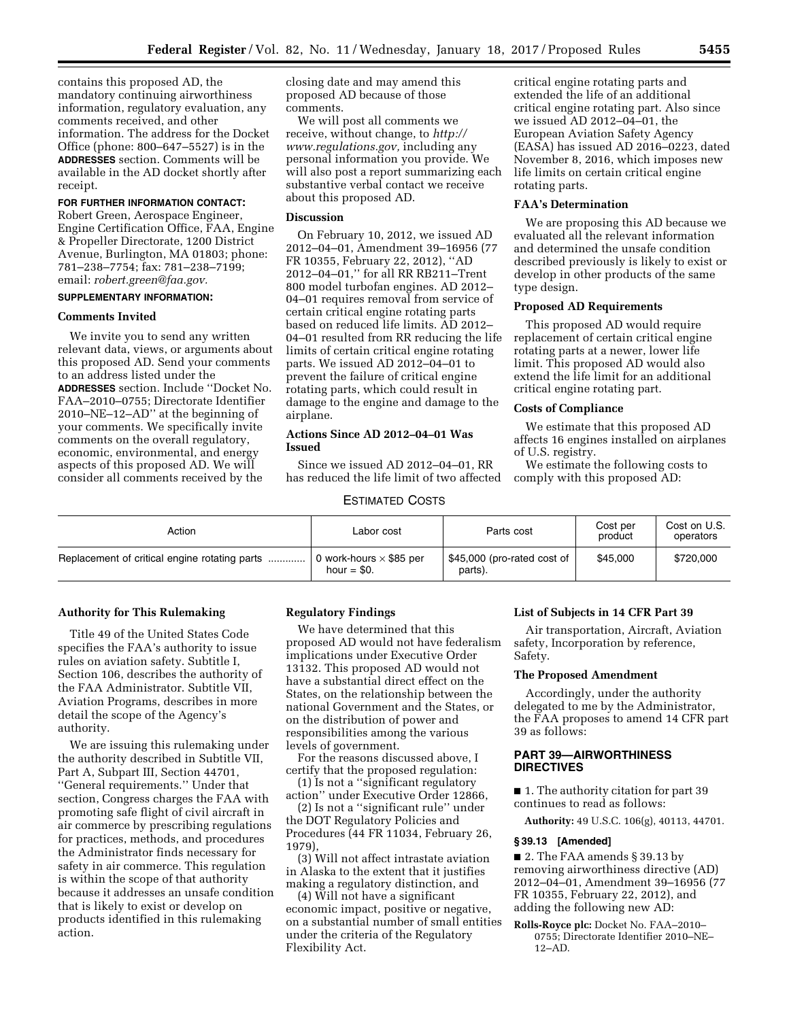contains this proposed AD, the mandatory continuing airworthiness information, regulatory evaluation, any comments received, and other information. The address for the Docket Office (phone: 800–647–5527) is in the **ADDRESSES** section. Comments will be available in the AD docket shortly after receipt.

### **FOR FURTHER INFORMATION CONTACT:**

Robert Green, Aerospace Engineer, Engine Certification Office, FAA, Engine & Propeller Directorate, 1200 District Avenue, Burlington, MA 01803; phone: 781–238–7754; fax: 781–238–7199; email: *[robert.green@faa.gov.](mailto:robert.green@faa.gov)* 

## **SUPPLEMENTARY INFORMATION:**

## **Comments Invited**

We invite you to send any written relevant data, views, or arguments about this proposed AD. Send your comments to an address listed under the **ADDRESSES** section. Include ''Docket No. FAA–2010–0755; Directorate Identifier 2010–NE–12–AD'' at the beginning of your comments. We specifically invite comments on the overall regulatory, economic, environmental, and energy aspects of this proposed AD. We will consider all comments received by the

closing date and may amend this proposed AD because of those comments.

We will post all comments we receive, without change, to *[http://](http://www.regulations.gov) [www.regulations.gov,](http://www.regulations.gov)* including any personal information you provide. We will also post a report summarizing each substantive verbal contact we receive about this proposed AD.

## **Discussion**

On February 10, 2012, we issued AD 2012–04–01, Amendment 39–16956 (77 FR 10355, February 22, 2012), ''AD 2012–04–01,'' for all RR RB211–Trent 800 model turbofan engines. AD 2012– 04–01 requires removal from service of certain critical engine rotating parts based on reduced life limits. AD 2012– 04–01 resulted from RR reducing the life limits of certain critical engine rotating parts. We issued AD 2012–04–01 to prevent the failure of critical engine rotating parts, which could result in damage to the engine and damage to the airplane.

## **Actions Since AD 2012–04–01 Was Issued**

Since we issued AD 2012–04–01, RR has reduced the life limit of two affected

#### ESTIMATED COSTS

critical engine rotating parts and extended the life of an additional critical engine rotating part. Also since we issued AD 2012–04–01, the European Aviation Safety Agency (EASA) has issued AD 2016–0223, dated November 8, 2016, which imposes new life limits on certain critical engine rotating parts.

# **FAA's Determination**

We are proposing this AD because we evaluated all the relevant information and determined the unsafe condition described previously is likely to exist or develop in other products of the same type design.

# **Proposed AD Requirements**

This proposed AD would require replacement of certain critical engine rotating parts at a newer, lower life limit. This proposed AD would also extend the life limit for an additional critical engine rotating part.

#### **Costs of Compliance**

We estimate that this proposed AD affects 16 engines installed on airplanes of U.S. registry.

We estimate the following costs to comply with this proposed AD:

| Action                                        | Labor cost                                      | Parts cost                             | Cost per<br>product | Cost on U.S.<br>operators |
|-----------------------------------------------|-------------------------------------------------|----------------------------------------|---------------------|---------------------------|
| Replacement of critical engine rotating parts | 0 work-hours $\times$ \$85 per<br>hour $=$ \$0. | \$45,000 (pro-rated cost of<br>parts). | \$45,000            | \$720,000                 |

#### **Authority for This Rulemaking**

Title 49 of the United States Code specifies the FAA's authority to issue rules on aviation safety. Subtitle I, Section 106, describes the authority of the FAA Administrator. Subtitle VII, Aviation Programs, describes in more detail the scope of the Agency's authority.

We are issuing this rulemaking under the authority described in Subtitle VII, Part A, Subpart III, Section 44701, ''General requirements.'' Under that section, Congress charges the FAA with promoting safe flight of civil aircraft in air commerce by prescribing regulations for practices, methods, and procedures the Administrator finds necessary for safety in air commerce. This regulation is within the scope of that authority because it addresses an unsafe condition that is likely to exist or develop on products identified in this rulemaking action.

#### **Regulatory Findings**

We have determined that this proposed AD would not have federalism implications under Executive Order 13132. This proposed AD would not have a substantial direct effect on the States, on the relationship between the national Government and the States, or on the distribution of power and responsibilities among the various levels of government.

For the reasons discussed above, I certify that the proposed regulation: (1) Is not a ''significant regulatory

action'' under Executive Order 12866,

(2) Is not a ''significant rule'' under the DOT Regulatory Policies and Procedures (44 FR 11034, February 26, 1979),

(3) Will not affect intrastate aviation in Alaska to the extent that it justifies making a regulatory distinction, and

(4) Will not have a significant economic impact, positive or negative, on a substantial number of small entities under the criteria of the Regulatory Flexibility Act.

#### **List of Subjects in 14 CFR Part 39**

Air transportation, Aircraft, Aviation safety, Incorporation by reference, Safety.

#### **The Proposed Amendment**

Accordingly, under the authority delegated to me by the Administrator, the FAA proposes to amend 14 CFR part 39 as follows:

## **PART 39—AIRWORTHINESS DIRECTIVES**

■ 1. The authority citation for part 39 continues to read as follows:

**Authority:** 49 U.S.C. 106(g), 40113, 44701.

#### **§ 39.13 [Amended]**

■ 2. The FAA amends § 39.13 by removing airworthiness directive (AD) 2012–04–01, Amendment 39–16956 (77 FR 10355, February 22, 2012), and adding the following new AD:

**Rolls-Royce plc:** Docket No. FAA–2010– 0755; Directorate Identifier 2010–NE– 12–AD.